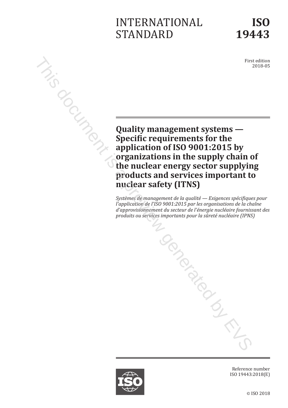# INTERNATIONAL STANDARD

First edition 2018-05

**Example 2014**<br>
Quality management systems —<br>
Specific requirements for the<br>
annlication of ISO 9001:2015 by<br>
in the supply chai **Specific requirements for the application of ISO 9001:2015 by organizations in the supply chain of the nuclear energy sector supplying products and services important to nuclear safety (ITNS)**

> *Systèmes de management de la qualité — Exigences spécifiques pour l'application de l'ISO 9001:2015 par les organisations de la chaîne d'approvisionnement du secteur de l'énergie nucléaire fournissant des produits ou services importants pour la sûreté nucléaire (IPNS)* TOCONSONS

Reference number ISO 19443:2018(E)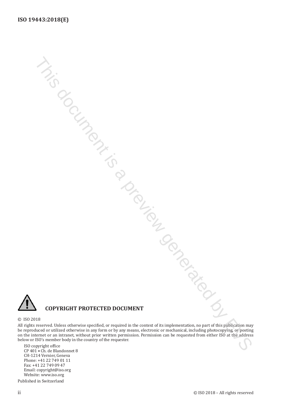

### **COPYRIGHT PROTECTED DOCUMENT**

### © ISO 2018

All rights reserved. Unless otherwise specified, or required in the context of its implementation, no part of this publication may be reproduced or utilized otherwise in any form or by any means, electronic or mechanical, including photocopying, or posting on the internet or an intranet, without prior written permission. Permission can be requested from either ISO at the address below or ISO's member body in the country of the requester. This document is a preview generated by EVS

ISO copyright office CP 401 • Ch. de Blandonnet 8 CH-1214 Vernier, Geneva Phone: +41 22 749 01 11 Fax: +41 22 749 09 47 Email: copyright@iso.org Website: www.iso.org

Published in Switzerland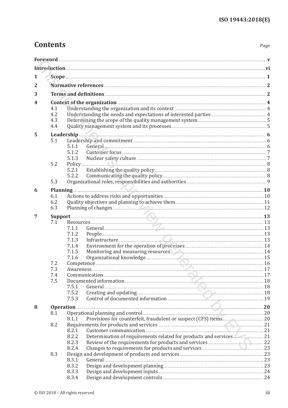# **Contents**

Page

| 1              |                                                                                                                                                                                                                                      |                                                                                                                                                                                                                                         |  |  |  |  |
|----------------|--------------------------------------------------------------------------------------------------------------------------------------------------------------------------------------------------------------------------------------|-----------------------------------------------------------------------------------------------------------------------------------------------------------------------------------------------------------------------------------------|--|--|--|--|
| $\overline{2}$ |                                                                                                                                                                                                                                      |                                                                                                                                                                                                                                         |  |  |  |  |
|                |                                                                                                                                                                                                                                      |                                                                                                                                                                                                                                         |  |  |  |  |
| 3              |                                                                                                                                                                                                                                      |                                                                                                                                                                                                                                         |  |  |  |  |
| 4              | Context of the organization 2000 and 2000 and 2000 and 2000 and 2000 and 2000 and 2000 and 2000 and 2000 and 2000 and 2000 and 2000 and 2000 and 2000 and 2000 and 2000 and 2000 and 2000 and 2000 and 2000 and 2000 and 2000        |                                                                                                                                                                                                                                         |  |  |  |  |
|                | 4.1                                                                                                                                                                                                                                  |                                                                                                                                                                                                                                         |  |  |  |  |
|                | 4.2                                                                                                                                                                                                                                  |                                                                                                                                                                                                                                         |  |  |  |  |
|                | 4.3                                                                                                                                                                                                                                  |                                                                                                                                                                                                                                         |  |  |  |  |
|                | 4.4                                                                                                                                                                                                                                  |                                                                                                                                                                                                                                         |  |  |  |  |
| 5              |                                                                                                                                                                                                                                      |                                                                                                                                                                                                                                         |  |  |  |  |
|                | 5.1                                                                                                                                                                                                                                  |                                                                                                                                                                                                                                         |  |  |  |  |
|                |                                                                                                                                                                                                                                      | General 6.6 Contract 6.6 Contract 6.6 Contract 6.6 Contract 6.6 Contract 6.6 Contract 6.6 Contract 6.6 Contract 6.6 Contract 6.6 Contract 6.6 Contract 6.6 Contract 6.6 Contract 6.6 Contract 6.6 Contract 6.6 Contract 6.6 Co<br>5.1.1 |  |  |  |  |
|                |                                                                                                                                                                                                                                      | 5.1.2                                                                                                                                                                                                                                   |  |  |  |  |
|                |                                                                                                                                                                                                                                      | 5.1.3                                                                                                                                                                                                                                   |  |  |  |  |
|                | 5.2                                                                                                                                                                                                                                  |                                                                                                                                                                                                                                         |  |  |  |  |
|                |                                                                                                                                                                                                                                      | 5.2.1<br>5.2.2                                                                                                                                                                                                                          |  |  |  |  |
|                | 5.3                                                                                                                                                                                                                                  |                                                                                                                                                                                                                                         |  |  |  |  |
|                |                                                                                                                                                                                                                                      |                                                                                                                                                                                                                                         |  |  |  |  |
| 6              |                                                                                                                                                                                                                                      | Planning 10                                                                                                                                                                                                                             |  |  |  |  |
|                | 6.1                                                                                                                                                                                                                                  | Actions to address risks and opportunities <b>Constitution</b> 10                                                                                                                                                                       |  |  |  |  |
|                | 6.2                                                                                                                                                                                                                                  | Planning of changes 22                                                                                                                                                                                                                  |  |  |  |  |
|                | 6.3                                                                                                                                                                                                                                  |                                                                                                                                                                                                                                         |  |  |  |  |
| 7              | <b>Support 23 All and 20 All and 20 All and 20 All and 20 All and 20 All and 20 All and 20 All and 20 All and 20 All and 20 All and 20 All and 20 All and 20 All and 20 All and 20 All and 20 All and 20 All and 20 All and 20 A</b> |                                                                                                                                                                                                                                         |  |  |  |  |
|                | 7.1                                                                                                                                                                                                                                  |                                                                                                                                                                                                                                         |  |  |  |  |
|                |                                                                                                                                                                                                                                      | 7.1.1                                                                                                                                                                                                                                   |  |  |  |  |
|                |                                                                                                                                                                                                                                      | 7.1.2                                                                                                                                                                                                                                   |  |  |  |  |
|                |                                                                                                                                                                                                                                      | Infrastructure <b>Executive Contract 23</b><br>7.1.3                                                                                                                                                                                    |  |  |  |  |
|                |                                                                                                                                                                                                                                      | 7.1.4<br>Monitoring and measuring resources <b>Constanting and measuring resources</b> 24<br>7.1.5                                                                                                                                      |  |  |  |  |
|                |                                                                                                                                                                                                                                      | 7.1.6                                                                                                                                                                                                                                   |  |  |  |  |
|                | 7.2                                                                                                                                                                                                                                  |                                                                                                                                                                                                                                         |  |  |  |  |
|                | 7.3                                                                                                                                                                                                                                  |                                                                                                                                                                                                                                         |  |  |  |  |
|                | 7.4                                                                                                                                                                                                                                  |                                                                                                                                                                                                                                         |  |  |  |  |
|                | 7.5                                                                                                                                                                                                                                  |                                                                                                                                                                                                                                         |  |  |  |  |
|                |                                                                                                                                                                                                                                      | 7.5.1                                                                                                                                                                                                                                   |  |  |  |  |
|                |                                                                                                                                                                                                                                      | 7.5.2                                                                                                                                                                                                                                   |  |  |  |  |
|                |                                                                                                                                                                                                                                      | Control of documented information 29 2014 19<br>7.5.3                                                                                                                                                                                   |  |  |  |  |
| 8              | Operation 20                                                                                                                                                                                                                         |                                                                                                                                                                                                                                         |  |  |  |  |
|                | 8.1                                                                                                                                                                                                                                  | Operational planning and control <b>manufacture and control</b> 20                                                                                                                                                                      |  |  |  |  |
|                |                                                                                                                                                                                                                                      | 8.1.1                                                                                                                                                                                                                                   |  |  |  |  |
|                | 8.2                                                                                                                                                                                                                                  | Requirements for products and services <b>Exercises</b> 21                                                                                                                                                                              |  |  |  |  |
|                |                                                                                                                                                                                                                                      | 8.2.1                                                                                                                                                                                                                                   |  |  |  |  |
|                |                                                                                                                                                                                                                                      | Determination of requirements related for products and services 21<br>8.2.2                                                                                                                                                             |  |  |  |  |
|                |                                                                                                                                                                                                                                      | Review of the requirements for products and services <b>Engineering Community</b> 22<br>8.2.3                                                                                                                                           |  |  |  |  |
|                |                                                                                                                                                                                                                                      | 8.2.4                                                                                                                                                                                                                                   |  |  |  |  |
|                | 8.3                                                                                                                                                                                                                                  |                                                                                                                                                                                                                                         |  |  |  |  |
|                |                                                                                                                                                                                                                                      | 8.3.1<br>8.3.2                                                                                                                                                                                                                          |  |  |  |  |
|                |                                                                                                                                                                                                                                      | 8.3.3                                                                                                                                                                                                                                   |  |  |  |  |
|                |                                                                                                                                                                                                                                      | 8.3.4                                                                                                                                                                                                                                   |  |  |  |  |
|                |                                                                                                                                                                                                                                      |                                                                                                                                                                                                                                         |  |  |  |  |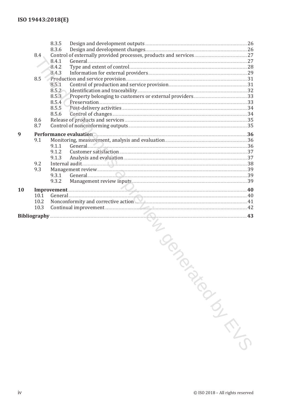|           |                  | 8.3.5                                                                          |  |
|-----------|------------------|--------------------------------------------------------------------------------|--|
|           |                  | 8.3.6                                                                          |  |
|           | 8.4 <sub>1</sub> |                                                                                |  |
|           |                  | General 27<br>8.4.1                                                            |  |
|           |                  | 8.4.2                                                                          |  |
|           |                  | 8.4.3                                                                          |  |
|           | 8.5              |                                                                                |  |
|           |                  | 8.5.1                                                                          |  |
|           |                  | 8.5.2                                                                          |  |
|           |                  |                                                                                |  |
|           |                  | 8.5.3                                                                          |  |
|           |                  | 8.5.4                                                                          |  |
|           |                  | 8.5.5                                                                          |  |
|           |                  | 8.5.6                                                                          |  |
|           | 8.6              |                                                                                |  |
|           | 8.7              |                                                                                |  |
| 9         |                  | Performance evaluation                                                         |  |
|           | 9.1              |                                                                                |  |
|           |                  | 9.1.1                                                                          |  |
|           |                  | General 36                                                                     |  |
|           |                  | 9.1.2                                                                          |  |
|           |                  | 9.1.3                                                                          |  |
|           | 9.2              |                                                                                |  |
|           | 9.3              |                                                                                |  |
|           |                  | General 29<br>9.3.1                                                            |  |
|           |                  | 9.3.2                                                                          |  |
| <b>10</b> |                  | Improvement 40                                                                 |  |
|           | 10.1             |                                                                                |  |
|           |                  |                                                                                |  |
|           | 10.2             | Nonconformity and corrective action <b>All and Convention Convention</b> 21 A1 |  |
|           | 10.3             |                                                                                |  |
|           |                  |                                                                                |  |
|           |                  | LOS                                                                            |  |
|           |                  | $\odot$ ICO 2010 All $\ddot{o}$ is $\ddot{o}$                                  |  |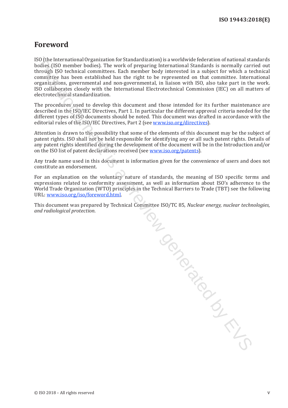## <span id="page-4-0"></span>**Foreword**

ISO (the International Organization for Standardization) is a worldwide federation of national standards bodies (ISO member bodies). The work of preparing International Standards is normally carried out through ISO technical committees. Each member body interested in a subject for which a technical committee has been established has the right to be represented on that committee. International organizations, governmental and non-governmental, in liaison with ISO, also take part in the work. ISO collaborates closely with the International Electrotechnical Commission (IEC) on all matters of electrotechnical standardization.

The procedures used to develop this document and those intended for its further maintenance are described in the ISO/IEC Directives, Part 1. In particular the different approval criteria needed for the different types of ISO documents should be noted. This document was drafted in accordance with the editorial rules of the ISO/IEC Directives, Part 2 (see www.iso.org/directives).

Attention is drawn to the possibility that some of the elements of this document may be the subject of patent rights. ISO shall not be held responsible for identifying any or all such patent rights. Details of any patent rights identified during the development of the document will be in the Introduction and/or on the ISO list of patent declarations received (see www.iso.org/patents).

Any trade name used in this document is information given for the convenience of users and does not constitute an endorsement.

For an explanation on the voluntary nature of standards, the meaning of ISO specific terms and expressions related to conformity assessment, as well as information about ISO's adherence to the World Trade Organization (WTO) principles in the Technical Barriers to Trade (TBT) see the following URL: www.iso.org/iso/foreword.html.

This document was prepared by Technical Committee ISO/TC 85, *Nuclear energy, nuclear technologies, and radiological protection*.

thee is.<br>Conditions are described by EVS and the CVS review of EVS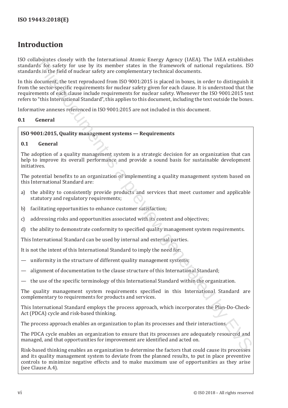# <span id="page-5-0"></span>**Introduction**

ISO collaborates closely with the International Atomic Energy Agency (IAEA). The IAEA establishes standards for safety for use by its member states in the framework of national regulations. ISO standards in the field of nuclear safety are complementary technical documents.

In this document, the text reproduced from ISO 9001:2015 is placed in boxes, in order to distinguish it from the sector-specific requirements for nuclear safety given for each clause. It is understood that the requirements of each clause include requirements for nuclear safety. Whenever the ISO 9001:2015 text refers to "this International Standard", this applies to this document, including the text outside the boxes. Inholates closely with the International Atomic Fraegy Agency (IAFA). The IAFA established is closed by the fraeform of the state of the state of the state of the state of the state of the state of the state of the frae st

Informative annexes referenced in ISO 9001:2015 are not included in this document.

### **0.1 General**

### **ISO 9001:2015, Quality management systems — Requirements**

### **0.1 General**

The adoption of a quality management system is a strategic decision for an organization that can help to improve its overall performance and provide a sound basis for sustainable development initiatives.

The potential benefits to an organization of implementing a quality management system based on this International Standard are:

- a) the ability to consistently provide products and services that meet customer and applicable statutory and regulatory requirements;
- b) facilitating opportunities to enhance customer satisfaction;
- c) addressing risks and opportunities associated with its context and objectives;
- d) the ability to demonstrate conformity to specified quality management system requirements.

This International Standard can be used by internal and external parties.

It is not the intent of this International Standard to imply the need for:

- uniformity in the structure of different quality management systems;
- alignment of documentation to the clause structure of this International Standard;
- the use of the specific terminology of this International Standard within the organization.

The quality management system requirements specified in this International Standard are complementary to requirements for products and services.

This International Standard employs the process approach, which incorporates the Plan-Do-Check-Act (PDCA) cycle and risk-based thinking.

The process approach enables an organization to plan its processes and their interactions.

The PDCA cycle enables an organization to ensure that its processes are adequately resourced and managed, and that opportunities for improvement are identified and acted on.

Risk-based thinking enables an organization to determine the factors that could cause its processes and its quality management system to deviate from the planned results, to put in place preventive controls to minimize negative effects and to make maximum use of opportunities as they arise (see Clause A.4).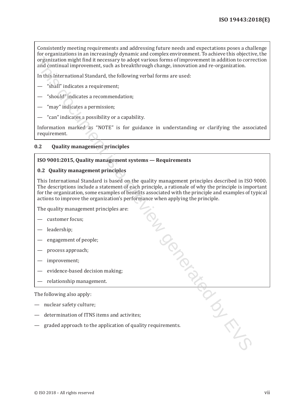Consistently meeting requirements and addressing future needs and expectations poses a challenge for organizations in an increasingly dynamic and complex environment. To achieve this objective, the organization might find it necessary to adopt various forms of improvement in addition to correction and continual improvement, such as breakthrough change, innovation and re-organization.

In this International Standard, the following verbal forms are used:

- "shall" indicates a requirement;
- "should" indicates a recommendation;
- "may" indicates a permission;
- "can" indicates a possibility or a capability.

Information marked as "NOTE" is for guidance in understanding or clarifying the associated requirement.

### **0.2 Quality management principles**

### **ISO 9001:2015, Quality management systems — Requirements**

### **0.2 Quality management principles**

This International Standard is based on the quality management principles described in ISO 9000. The descriptions include a statement of each principle, a rationale of why the principle is important for the organization, some examples of benefits associated with the principle and examples of typical actions to improve the organization's performance when applying the principle. Tring the Review Contract of Contract of Contract of Contract of Contract of Contract of Contract of Contract of Contract of Contract of Contract of Contract of Contract of Contract of Contract of Contract of Contract of C

The quality management principles are:

- customer focus;
- leadership;
- engagement of people;
- process approach;
- improvement;
- evidence-based decision making;
- relationship management.

The following also apply:

- nuclear safety culture;
- determination of ITNS items and activites;
- graded approach to the application of quality requirements.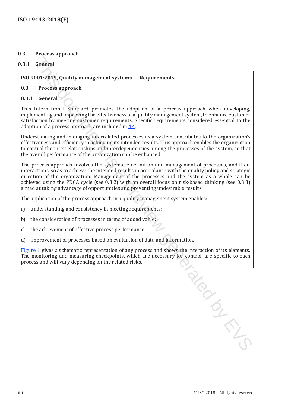### **0.3 Process approach**

### **0.3.1 General**

### **ISO 9001:2015, Quality management systems — Requirements**

### **0.3 P**r**ocess approach**

### **0.3.1 General**

This International Standard promotes the adoption of a process approach when developing, implementing and improving the effectiveness of a quality management system, to enhance customer satisfaction by meeting customer requirements. Specific requirements considered essential to the adoption of a process approach are included in 4.4.

Understanding and managing interrelated processes as a system contributes to the organization's effectiveness and efficiency in achieving its intended results. This approach enables the organization to control the interrelationships and interdependencies among the processes of the system, so that the overall performance of the organization can be enhanced.

The process approach involves the systematic definition and management of processes, and their interactions, so as to achieve the intended results in accordance with the quality policy and strategic direction of the organization. Management of the processes and the system as a whole can be achieved using the PDCA cycle (see 0.3.2) with an overall focus on risk-based thinking (see 0.3.3) aimed at taking advantage of opportunities and preventing undesirable results.

The application of the process approach in a quality management system enables:

- a) understanding and consistency in meeting requirements;
- b) the consideration of processes in terms of added value;
- c) the achievement of effective process performance;
- d) improvement of processes based on evaluation of data and information.

[Figure](#page-8-0) 1 gives a schematic representation of any process and shows the interaction of its elements. The monitoring and measuring checkpoints, which are necessary for control, are specific to each process and will vary depending on the related risks. Previl is a previous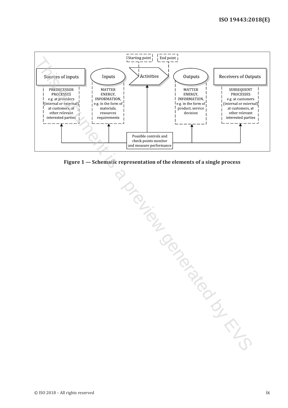

<span id="page-8-0"></span>**Figure 1 — Schematic representation of the elements of a single process**

This document is a preview generated by EVS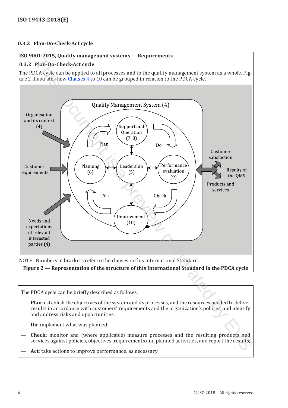### **0.3.2 Plan-Do-Check-Act cycle**

### **ISO 9001:2015, Quality management systems — Requirements**

### **0.3.2 Plan-Do-Check-Act cycle**

The PDCA cycle can be applied to all processes and to the quality management system as a whole. Figure 2 illustrates how Clauses 4 to 10 can be grouped in relation to the PDCA cycle.



The PDCA cycle can be briefly described as follows:

- **Plan**: establish the objectives of the system and its processes, and the resources needed to deliver results in accordance with customers' requirements and the organization's policies, and identify and address risks and opportunities;
- **Do**: implement what was planned;
- **Check**: monitor and (where applicable) measure processes and the resulting products and services against policies, objectives, requirements and planned activities, and report the results;
- Act: take actions to improve performance, as necessary.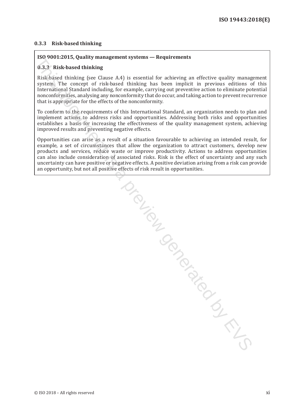### **0.3.3 Risk-based thinking**

### **ISO 9001:2015, Quality management systems — Requirements**

### **0.3.3 Risk-based thinking**

Risk-based thinking (see Clause A.4) is essential for achieving an effective quality management system. The concept of risk-based thinking has been implicit in previous editions of this International Standard including, for example, carrying out preventive action to eliminate potential nonconformities, analysing any nonconformity that do occur, and taking action to prevent recurrence that is appropriate for the effects of the nonconformity.

To conform to the requirements of this International Standard, an organization needs to plan and implement actions to address risks and opportunities. Addressing both risks and opportunities establishes a basis for increasing the effectiveness of the quality management system, achieving improved results and preventing negative effects.

Opportunities can arise as a result of a situation favourable to achieving an intended result, for example, a set of circumstances that allow the organization to attract customers, develop new products and services, reduce waste or improve productivity. Actions to address opportunities can also include consideration of associated risks. Risk is the effect of uncertainty and any such uncertainty can have positive or negative effects. A positive deviation arising from a risk can provide an opportunity, but not all positive effects of risk result in opportunities.

Suis donne is a previou by EVS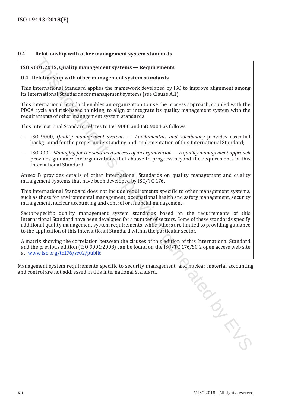### **0.4 Relationship with other management system standards**

### **ISO 9001:2015, Quality management systems — Requirements**

### **0.4 Relationship with other management system standards**

This International Standard applies the framework developed by ISO to improve alignment among its International Standards for management systems (see Clause A.1).

This International Standard enables an organization to use the process approach, coupled with the PDCA cycle and risk-based thinking, to align or integrate its quality management system with the requirements of other management system standards.

This International Standard relates to ISO 9000 and ISO 9004 as follows:

- ISO 9000, *Quality management systems Fundamentals and vocabulary* provides essential background for the proper understanding and implementation of this International Standard;
- ISO 9004, *Managing for the sustained success of an organization A quality management approach* provides guidance for organizations that choose to progress beyond the requirements of this International Standard.

Annex B provides details of other International Standards on quality management and quality management systems that have been developed by ISO/TC 176.

This International Standard does not include requirements specific to other management systems, such as those for environmental management, occupational health and safety management, security management, nuclear accounting and control or financial management.

Sector-specific quality management system standards based on the requirements of this International Standard have been developed for a number of sectors. Some of these standards specify additional quality management system requirements, while others are limited to providing guidance to the application of this International Standard within the particular sector. 001:2015, Quality management systems — Requirements<br>claationship with other management systems — Requirements<br>rational Scalar or and Constant of the framework developed by ISO to improve alignment among<br>terrational Scalard

A matrix showing the correlation between the clauses of this edition of this International Standard and the previous edition (ISO 9001:2008) can be found on the ISO/TC 176/SC 2 open access web site at: www.iso.org/tc176/sc02/public.

Management system requirements specific to security management, and nuclear material accounting<br>and control are not addressed in this International Standard. and control are not addressed in this International Standard.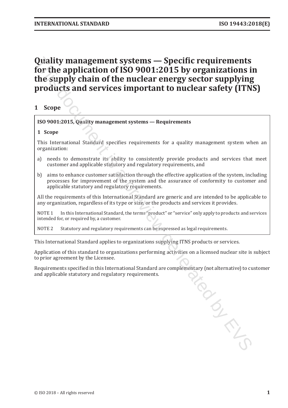# <span id="page-12-0"></span>**Quality management systems — Specific requirements for the application of ISO 9001:2015 by organizations in the supply chain of the nuclear energy sector supplying products and services important to nuclear safety (ITNS) Quality management systems — Specific requirements for the application of ISO 9001:2015, by organizations in Solicity and Services in the supply chain of the nuclear energy sector supplying products and services importan**

### **1 Scope**

### **ISO 9001:2015, Quality management systems — Requirements**

### **1 Scope**

This International Standard specifies requirements for a quality management system when an organization:

- a) needs to demonstrate its ability to consistently provide products and services that meet customer and applicable statutory and regulatory requirements, and
- b) aims to enhance customer satisfaction through the effective application of the system, including processes for improvement of the system and the assurance of conformity to customer and applicable statutory and regulatory requirements.

All the requirements of this International Standard are generic and are intended to be applicable to any organization, regardless of its type or size, or the products and services it provides.

NOTE 1 In this International Standard, the terms "product" or "service" only apply to products and services intended for, or required by, a customer.

NOTE 2 Statutory and regulatory requirements can be expressed as legal requirements.

This International Standard applies to organizations supplying ITNS products or services.

Application of this standard to organizations performing activities on a licensed nuclear site is subject to prior agreement by the Licensee.

Requirements specified in this International Standard are complementary (not alternative) to customer and applicable statutory and regulatory requirements.